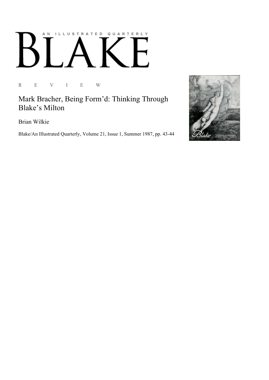## AN ILLUSTRATED QUARTERLY  $\begin{bmatrix} 1 & 1 \\ 1 & 1 \end{bmatrix}$ Ď

R E V I E W

Mark Bracher, Being Form'd: Thinking Through Blake's Milton

Brian Wilkie

Blake/An Illustrated Quarterly, Volume 21, Issue 1, Summer 1987, pp. 43-44

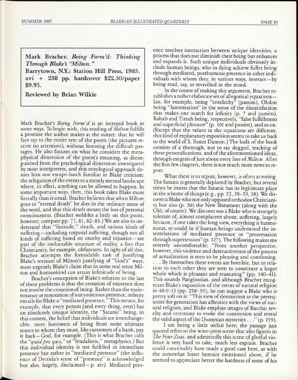Mark Bracher. Being Form'd: Thinking *Through Blake's "Milton."*  Barrytown, N.Y.: Station Hill Press, 1985.

 $xvi + 288$  pp. hardcover \$22.50/paper \$9.95.

Reviewed by Brian Wilkie

Mark Bracher's *Being Form 'd* is an intrepid book in some ways. To begin with, this reading *of Milton* fulfills a promise the author makes at the outset: that he will face up to the entire text of the poem (the pictures receive no attention), without finessing the difficult passages. He also focuses on what he considers the metaphysical dimension of the poem's meaning, as distinguished from the psychological dimension investigated by most interpreters, and this ontological approach denies him one escape-hatch familiar in Blake criticism: the relegation of the events to a merely mental landscape where, in effect, anything can be allowed to happen. In some important ways, then, this book takes Blake more literally than is usual. Bracher believes that when Milton goes to "eternal death" he dies in the ordinary sense of the word, and that this death means the loss of personal consciousness. (Bracher wobbles a little on this point, however; compare pp. 77, 81, 82-83.) We are also to understand that "finitude," death, and various kinds of suffering—including corporal suffering, though not all kinds of suffering based on cruelty and injustice —are part of the ineluctable structure of reality, a fact that Christianity, for example, obfuscates. In light of all this, Bracher attempts the formidable task of justifying Blake's revision of Milton's justifying of "God's" ways, most urgently Blake's claim that in some real sense Milton and humankind can attain infinitude of being.

Bracher's conception of Blake's solution to the last of these problems is that the cessation of existence does not involve the cessation of being. Rather than the maintenance or restoration of our conscious presence, infinity entails for Blake a "mediated presence." This means, for example, that every person (and every thing, even) has an absolutely unique identity, the "Satanic" being, in this context, the belief that individuals are interchangeable, mere borrowers of being from some ultimate source to whom they must, like customers of a bank, pay it back—God, for example. (This is what Bracher calls the *"quid pro quo"* or "feudalistic," metaphysics.) But this individual identity is not fulfilled in immediate presence but rather in "mediated presence" (the influence of Derrida's sense of "presence" is acknowledged but also, largely, disclaimed —p. xiv). Mediated presence involves interaction between unique identities, a process that does not diminish their being but enhances and expands it. Such unique individuals obviously include human beings, who in dying achieve fuller being through mediated, posthumous presence in other individuals with whom they, in various ways, interact —by being read, say, or revivified in the mind.

In the course of making this argument, Bracher establishes a rather elaborate set of allegorical equations — Los, for example, being "entelechy" (passim), Ololon being "lamentation" in the sense of the dissatisfaction that makes one search for infinity (p. 7 and passim), Rahab and Tirzah being, respectively, "false fulfillment and superficial pleasure" (p. 101 and passim), and so on. (Except that the values in the equations are different, this kind of explanatory exposition seems to take us back to the world of S. Foster Damon.) The bulk of the book consists of a thorough, not to say dogged, tracking of these personifications, and of the aforementioned ideas, through exegesis of just about every line of *Milton.* After the first few chapters, there is not much more news to report.

What there is to report, however, is often arresting. The Satanic is generally deplored by Bracher, but several times he insists that the Satanic has its legitimate place in the scheme of things (e.g., pp. 22, 28-29, 38). We discover a Blake who not only opposed orthodox Christianity but also (p. 50) the New Testament (along with the Old, of course). We discover too a Blake who is strangely tolerant of, almost complacent about, suffering, largely because, if one takes the long view, everything is harmonious, or could be if human beings understood the interrelations of mediated presence or "preservation through supersession" (p. 127). The following makes me severely uncomfortable: "From another perspective, however, this violence and destructiveness of the process of actualization is seen to be pleasing and comforting. . . . By themselves these events are horrible, but in relation to each other they are seen to constitute a larger whole which is pleasant and reassuring" (pp. 140-41). This sounds Panglossian, and although Bracher recognizes Blake's exposition of the errors of natural religion in 40:9-13 (pp. 258-59), he can suggest a Blake who is pretty soft on it: "This view of destruction as the prerequisite for generation has affinities with the views of natural religion, and Blake employs images of Bacchic revelry and ceremony to evoke the connection and reveal the valid aspect of the Dionysian mysteries . . ."(p. 159).

I am being a little unfair here; the passage just quoted refers to the wine-press scene that also figures in *The FourZoas,* and admittedly this scene of gleeful violence is very hard to take, much less explain. Bracher could conceivably have made a good case here, as with the somewhat lesser heresies mentioned above, if he seemed to appreciate better the hardness of some of his